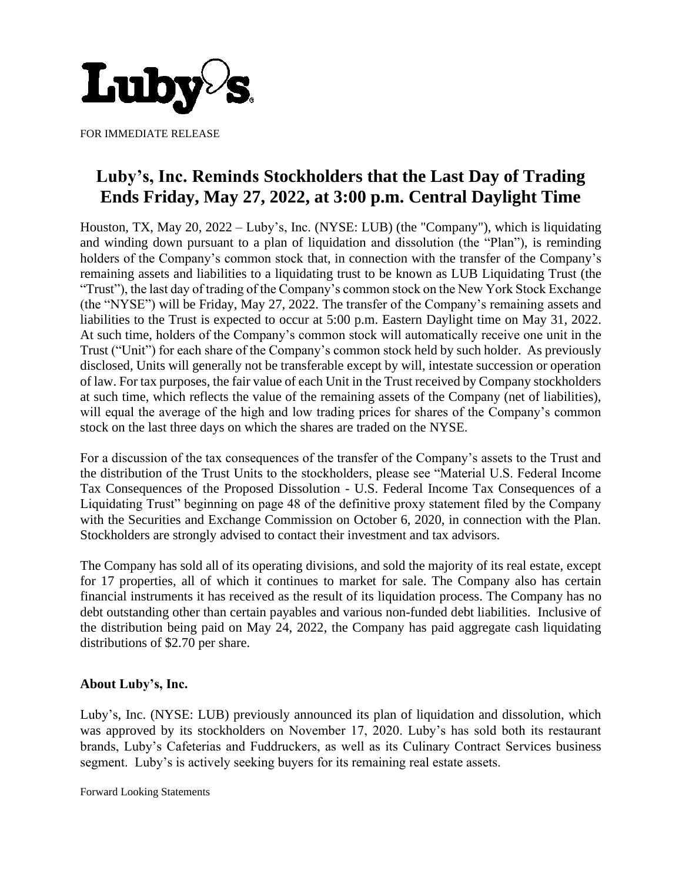

FOR IMMEDIATE RELEASE

## **Luby's, Inc. Reminds Stockholders that the Last Day of Trading Ends Friday, May 27, 2022, at 3:00 p.m. Central Daylight Time**

Houston, TX, May 20, 2022 – Luby's, Inc. (NYSE: LUB) (the "Company"), which is liquidating and winding down pursuant to a plan of liquidation and dissolution (the "Plan"), is reminding holders of the Company's common stock that, in connection with the transfer of the Company's remaining assets and liabilities to a liquidating trust to be known as LUB Liquidating Trust (the "Trust"), the last day of trading of the Company's common stock on the New York Stock Exchange (the "NYSE") will be Friday, May 27, 2022. The transfer of the Company's remaining assets and liabilities to the Trust is expected to occur at 5:00 p.m. Eastern Daylight time on May 31, 2022. At such time, holders of the Company's common stock will automatically receive one unit in the Trust ("Unit") for each share of the Company's common stock held by such holder. As previously disclosed, Units will generally not be transferable except by will, intestate succession or operation of law. For tax purposes, the fair value of each Unit in the Trust received by Company stockholders at such time, which reflects the value of the remaining assets of the Company (net of liabilities), will equal the average of the high and low trading prices for shares of the Company's common stock on the last three days on which the shares are traded on the NYSE.

For a discussion of the tax consequences of the transfer of the Company's assets to the Trust and the distribution of the Trust Units to the stockholders, please see "Material U.S. Federal Income Tax Consequences of the Proposed Dissolution - U.S. Federal Income Tax Consequences of a Liquidating Trust" beginning on page 48 of the definitive proxy statement filed by the Company with the Securities and Exchange Commission on October 6, 2020, in connection with the Plan. Stockholders are strongly advised to contact their investment and tax advisors.

The Company has sold all of its operating divisions, and sold the majority of its real estate, except for 17 properties, all of which it continues to market for sale. The Company also has certain financial instruments it has received as the result of its liquidation process. The Company has no debt outstanding other than certain payables and various non-funded debt liabilities. Inclusive of the distribution being paid on May 24, 2022, the Company has paid aggregate cash liquidating distributions of \$2.70 per share.

## **About Luby's, Inc.**

Luby's, Inc. (NYSE: LUB) previously announced its plan of liquidation and dissolution, which was approved by its stockholders on November 17, 2020. Luby's has sold both its restaurant brands, Luby's Cafeterias and Fuddruckers, as well as its Culinary Contract Services business segment. Luby's is actively seeking buyers for its remaining real estate assets.

Forward Looking Statements